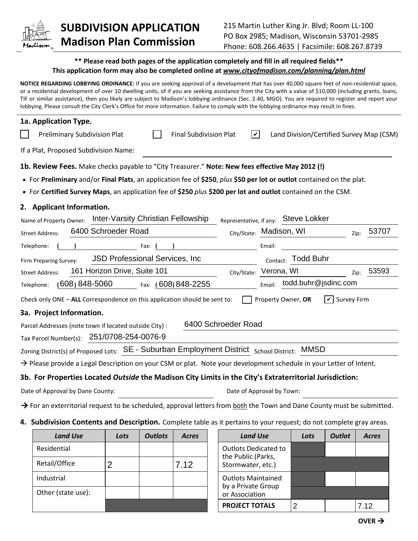

## **SUBDIVISION APPLICATION Madison Plan Commission**

## **\*\* Please read both pages of the application completely and fill in all required fields\*\* This application form may also be completed online at** *www.cityofmadison.com/planning/plan.html*

**NOTICE REGARDING LOBBYING ORDINANCE:** If you are seeking approval of a development that has over 40,000 square feet of non-residential space, or a residential development of over 10 dwelling units, of if you are seeking assistance from the City with a value of \$10,000 (including grants, loans, TIF or similar assistance), then you likely are subject to Madison's lobbying ordinance (Sec. 2.40, MGO). You are required to register and report your lobbying. Please consult the City Clerk's Office for more information. Failure to comply with the lobbying ordinance may result in fines.

| 1a. Application Type.                                                                                                              |                                                       |
|------------------------------------------------------------------------------------------------------------------------------------|-------------------------------------------------------|
| $\vert\bm{\mathsf{v}}\vert$<br><b>Preliminary Subdivision Plat</b><br><b>Final Subdivision Plat</b>                                | Land Division/Certified Survey Map (CSM)              |
| If a Plat, Proposed Subdivision Name:                                                                                              |                                                       |
| 1b. Review Fees. Make checks payable to "City Treasurer." Note: New fees effective May 2012 (!)                                    |                                                       |
| • For Preliminary and/or Final Plats, an application fee of \$250, plus \$50 per lot or outlot contained on the plat.              |                                                       |
| • For Certified Survey Maps, an application fee of \$250 plus \$200 per lot and outlot contained on the CSM.                       |                                                       |
| 2. Applicant Information.                                                                                                          |                                                       |
| Inter-Varsity Christian Fellowship<br>Name of Property Owner:                                                                      | Representative, if any: Steve Lokker                  |
| 6400 Schroeder Road<br><b>Street Address:</b>                                                                                      | 53707<br>City/State: Madison, WI<br>Zip:              |
| Telephone:<br>Fax:                                                                                                                 | Email:                                                |
| <b>JSD Professional Services, Inc.</b><br>Firm Preparing Survey:                                                                   | <b>Todd Buhr</b><br>Contact:                          |
| 161 Horizon Drive, Suite 101<br><b>Street Address:</b><br>City/State:                                                              | 53593<br>Verona, WI<br>Zip:                           |
| $(608) 848 - 5060$<br>Fax: (608) 848-2255<br>Telephone:                                                                            | todd.buhr@jsdinc.com<br>Email:                        |
| Check only ONE - ALL Correspondence on this application should be sent to:                                                         | Property Owner, OR<br>$\vert\,$<br><b>Survey Firm</b> |
| 3a. Project Information.                                                                                                           |                                                       |
| 6400 Schroeder Road<br>Parcel Addresses (note town if located outside City) :                                                      |                                                       |
| Tax Parcel Number(s): 251/0708-254-0076-9                                                                                          |                                                       |
| Zoning District(s) of Proposed Lots: SE - Suburban Employment District School District: MMSD                                       |                                                       |
| $\rightarrow$ Please provide a Legal Description on your CSM or plat. Note your development schedule in your Letter of Intent.     |                                                       |
| 3b. For Properties Located Outside the Madison City Limits in the City's Extraterritorial Jurisdiction:                            |                                                       |
| Date of Approval by Dane County:                                                                                                   | Date of Approval by Town:                             |
| $\rightarrow$ For an exterritorial request to be scheduled, approval letters from both the Town and Dane County must be submitted. |                                                       |

**4. Subdivision Contents and Description.** Complete table as it pertains to your request; do not complete gray areas.

| <b>Land Use</b>    | Lots | <b>Outlots</b> | <b>Acres</b> | <b>Land Use</b>                                   | Lots | <b>Outlot</b> | Acres |
|--------------------|------|----------------|--------------|---------------------------------------------------|------|---------------|-------|
| Residential        |      |                |              | <b>Outlots Dedicated to</b><br>the Public (Parks, |      |               |       |
| Retail/Office      |      |                | 7.12         | Stormwater, etc.)                                 |      |               |       |
| Industrial         |      |                |              | <b>Outlots Maintained</b>                         |      |               |       |
| Other (state use): |      |                |              | by a Private Group<br>or Association              |      |               |       |
|                    |      |                |              | <b>PROJECT TOTALS</b>                             |      |               | 7.12  |